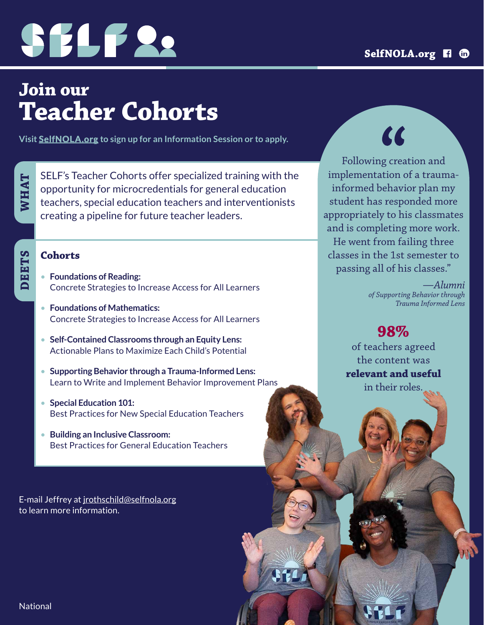# SELF 22

### **Join our Teacher Cohorts**

**Visit [SelfNOLA.org](https://www.selfnola.org/programs/teacher-cohorts) to sign up for an Information Session or to apply.**

**WHAT**

**DEETS**

SELF's Teacher Cohorts offer specialized training with the opportunity for microcredentials for general education teachers, special education teachers and interventionists creating a pipeline for future teacher leaders.

#### **Cohorts**

- **Foundations of Reading:** Concrete Strategies to Increase Access for All Learners
- **Foundations of Mathematics:** Concrete Strategies to Increase Access for All Learners
- **Self-Contained Classrooms through an Equity Lens:** Actionable Plans to Maximize Each Child's Potential
- **Supporting Behavior through a Trauma-Informed Lens:** Learn to Write and Implement Behavior Improvement Plans
- **Special Education 101:** Best Practices for New Special Education Teachers
- **Building an Inclusive Classroom:** Best Practices for General Education Teachers

E-mail Jeffrey at [jrothschild@selfnola.org](mailto:jrothschild%40selfnola.org?subject=) to learn more information.

 $\overline{\mathcal{L}}$ 

Following creation and implementation of a traumainformed behavior plan my student has responded more appropriately to his classmates and is completing more work. He went from failing three classes in the 1st semester to passing all of his classes."

> *—Alumni of Supporting Behavior through Trauma Informed Lens*

> > $\overline{11}$

### **98%**

of teachers agreed the content was **relevant and useful** in their roles.

**National**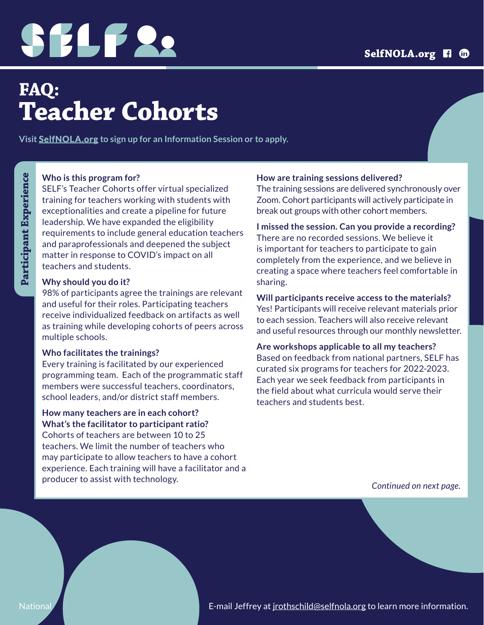## SELF 22

## **FAQ: Teacher Cohorts**

**Visit [SelfNOLA.org](https://www.selfnola.org/programs/teacher-cohorts) to sign up for an Information Session or to apply.**

#### **Who is this program for?**

SELF's Teacher Cohorts offer virtual specialized training for teachers working with students with exceptionalities and create a pipeline for future leadership. We have expanded the eligibility requirements to include general education teachers and paraprofessionals and deepened the subject matter in response to COVID's impact on all teachers and students.

#### **Why should you do it?**

98% of participants agree the trainings are relevant and useful for their roles. Participating teachers receive individualized feedback on artifacts as well as training while developing cohorts of peers across multiple schools.

#### **Who facilitates the trainings?**

Every training is facilitated by our experienced programming team. Each of the programmatic staff members were successful teachers, coordinators, school leaders, and/or district staff members.

**How many teachers are in each cohort? What's the facilitator to participant ratio?** Cohorts of teachers are between 10 to 25 teachers. We limit the number of teachers who may participate to allow teachers to have a cohort experience. Each training will have a facilitator and a producer to assist with technology.

#### **How are training sessions delivered?**

The training sessions are delivered synchronously over Zoom. Cohort participants will actively participate in break out groups with other cohort members.

#### **I missed the session. Can you provide a recording?** There are no recorded sessions. We believe it is important for teachers to participate to gain completely from the experience, and we believe in creating a space where teachers feel comfortable in sharing.

**Will participants receive access to the materials?** Yes! Participants will receive relevant materials prior to each session. Teachers will also receive relevant and useful resources through our monthly newsletter.

#### **Are workshops applicable to all my teachers?**

Based on feedback from national partners, SELF has curated six programs for teachers for 2022-2023. Each year we seek feedback from participants in the field about what curricula would serve their teachers and students best.

*Continued on next page.*

National **E-mail Jeffrey at <u>irothschild@selfnola.org</u> to learn more information.**